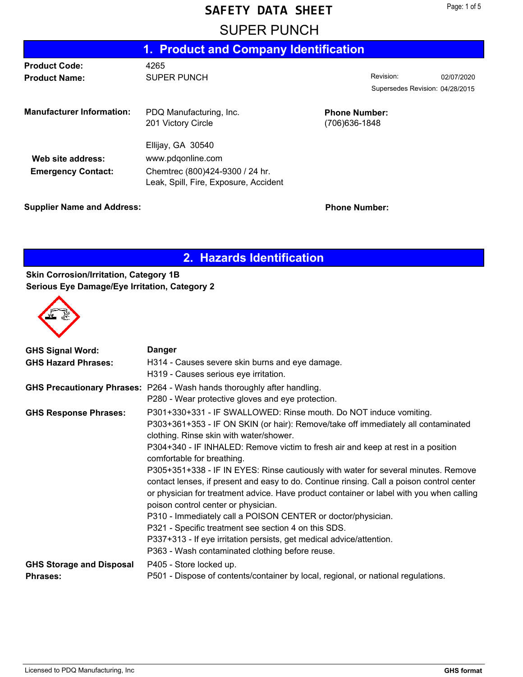#### **SAFETY DATA SHEET**

|                                                | 1. Product and Company Identification                                                                              |                                       |                                 |            |  |
|------------------------------------------------|--------------------------------------------------------------------------------------------------------------------|---------------------------------------|---------------------------------|------------|--|
| <b>Product Code:</b>                           | 4265                                                                                                               |                                       |                                 |            |  |
| <b>Product Name:</b>                           | <b>SUPER PUNCH</b>                                                                                                 |                                       | Revision:                       | 02/07/2020 |  |
|                                                |                                                                                                                    |                                       | Supersedes Revision: 04/28/2015 |            |  |
| <b>Manufacturer Information:</b>               | PDQ Manufacturing, Inc.<br>201 Victory Circle                                                                      | <b>Phone Number:</b><br>(706)636-1848 |                                 |            |  |
| Web site address:<br><b>Emergency Contact:</b> | Ellijay, GA 30540<br>www.pdqonline.com<br>Chemtrec (800)424-9300 / 24 hr.<br>Leak, Spill, Fire, Exposure, Accident |                                       |                                 |            |  |

**Supplier Name and Address: Phone Number: Phone Number:** 

**2. Hazards Identification**

#### **Skin Corrosion/Irritation, Category 1B Serious Eye Damage/Eye Irritation, Category 2**



| <b>GHS Signal Word:</b>         | <b>Danger</b>                                                                             |
|---------------------------------|-------------------------------------------------------------------------------------------|
| <b>GHS Hazard Phrases:</b>      | H314 - Causes severe skin burns and eye damage.                                           |
|                                 | H319 - Causes serious eye irritation.                                                     |
|                                 | <b>GHS Precautionary Phrases: P264 - Wash hands thoroughly after handling.</b>            |
|                                 | P280 - Wear protective gloves and eye protection.                                         |
| <b>GHS Response Phrases:</b>    | P301+330+331 - IF SWALLOWED: Rinse mouth. Do NOT induce vomiting.                         |
|                                 | P303+361+353 - IF ON SKIN (or hair): Remove/take off immediately all contaminated         |
|                                 | clothing. Rinse skin with water/shower.                                                   |
|                                 | P304+340 - IF INHALED: Remove victim to fresh air and keep at rest in a position          |
|                                 | comfortable for breathing.                                                                |
|                                 | P305+351+338 - IF IN EYES: Rinse cautiously with water for several minutes. Remove        |
|                                 | contact lenses, if present and easy to do. Continue rinsing. Call a poison control center |
|                                 | or physician for treatment advice. Have product container or label with you when calling  |
|                                 | poison control center or physician.                                                       |
|                                 | P310 - Immediately call a POISON CENTER or doctor/physician.                              |
|                                 | P321 - Specific treatment see section 4 on this SDS.                                      |
|                                 | P337+313 - If eye irritation persists, get medical advice/attention.                      |
|                                 | P363 - Wash contaminated clothing before reuse.                                           |
| <b>GHS Storage and Disposal</b> | P405 - Store locked up.                                                                   |
| <b>Phrases:</b>                 | P501 - Dispose of contents/container by local, regional, or national regulations.         |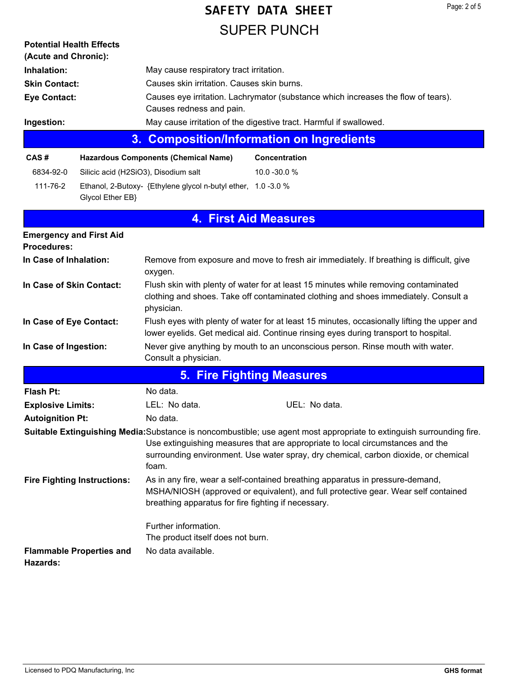# **SUPER PUNCH SAFETY DATA SHEET**

| <b>Potential Health Effects</b><br>(Acute and Chronic): |                                    |                                                               |                                                                                                                                                                                                                                                                                                |
|---------------------------------------------------------|------------------------------------|---------------------------------------------------------------|------------------------------------------------------------------------------------------------------------------------------------------------------------------------------------------------------------------------------------------------------------------------------------------------|
| Inhalation:                                             |                                    | May cause respiratory tract irritation.                       |                                                                                                                                                                                                                                                                                                |
| <b>Skin Contact:</b>                                    |                                    | Causes skin irritation. Causes skin burns.                    |                                                                                                                                                                                                                                                                                                |
| <b>Eye Contact:</b>                                     |                                    |                                                               | Causes eye irritation. Lachrymator (substance which increases the flow of tears).                                                                                                                                                                                                              |
|                                                         |                                    | Causes redness and pain.                                      |                                                                                                                                                                                                                                                                                                |
| Ingestion:                                              |                                    |                                                               | May cause irritation of the digestive tract. Harmful if swallowed.                                                                                                                                                                                                                             |
|                                                         | 3.                                 |                                                               | <b>Composition/Information on Ingredients</b>                                                                                                                                                                                                                                                  |
| CAS#                                                    |                                    | <b>Hazardous Components (Chemical Name)</b>                   | Concentration                                                                                                                                                                                                                                                                                  |
| 6834-92-0                                               |                                    | Silicic acid (H2SiO3), Disodium salt                          | 10.0 - 30.0 %                                                                                                                                                                                                                                                                                  |
| 111-76-2                                                | Glycol Ether EB}                   | Ethanol, 2-Butoxy- {Ethylene glycol n-butyl ether, 1.0 -3.0 % |                                                                                                                                                                                                                                                                                                |
|                                                         |                                    | 4.                                                            | <b>First Aid Measures</b>                                                                                                                                                                                                                                                                      |
| <b>Emergency and First Aid</b><br><b>Procedures:</b>    |                                    |                                                               |                                                                                                                                                                                                                                                                                                |
| In Case of Inhalation:                                  |                                    | oxygen.                                                       | Remove from exposure and move to fresh air immediately. If breathing is difficult, give                                                                                                                                                                                                        |
| In Case of Skin Contact:                                |                                    | physician.                                                    | Flush skin with plenty of water for at least 15 minutes while removing contaminated<br>clothing and shoes. Take off contaminated clothing and shoes immediately. Consult a                                                                                                                     |
| In Case of Eye Contact:                                 |                                    |                                                               | Flush eyes with plenty of water for at least 15 minutes, occasionally lifting the upper and<br>lower eyelids. Get medical aid. Continue rinsing eyes during transport to hospital.                                                                                                             |
| In Case of Ingestion:                                   |                                    | Consult a physician.                                          | Never give anything by mouth to an unconscious person. Rinse mouth with water.                                                                                                                                                                                                                 |
|                                                         |                                    |                                                               | <b>5. Fire Fighting Measures</b>                                                                                                                                                                                                                                                               |
| <b>Flash Pt:</b>                                        |                                    | No data.                                                      |                                                                                                                                                                                                                                                                                                |
| <b>Explosive Limits:</b>                                |                                    | LEL: No data.                                                 | UEL: No data.                                                                                                                                                                                                                                                                                  |
| <b>Autoignition Pt:</b>                                 |                                    | No data.                                                      |                                                                                                                                                                                                                                                                                                |
|                                                         |                                    | foam.                                                         | Suitable Extinguishing Media: Substance is noncombustible; use agent most appropriate to extinguish surrounding fire.<br>Use extinguishing measures that are appropriate to local circumstances and the<br>surrounding environment. Use water spray, dry chemical, carbon dioxide, or chemical |
|                                                         | <b>Fire Fighting Instructions:</b> | breathing apparatus for fire fighting if necessary.           | As in any fire, wear a self-contained breathing apparatus in pressure-demand,<br>MSHA/NIOSH (approved or equivalent), and full protective gear. Wear self contained                                                                                                                            |
|                                                         |                                    | Further information.                                          |                                                                                                                                                                                                                                                                                                |
|                                                         |                                    | The product itself does not burn.                             |                                                                                                                                                                                                                                                                                                |
| Hazards:                                                | <b>Flammable Properties and</b>    | No data available.                                            |                                                                                                                                                                                                                                                                                                |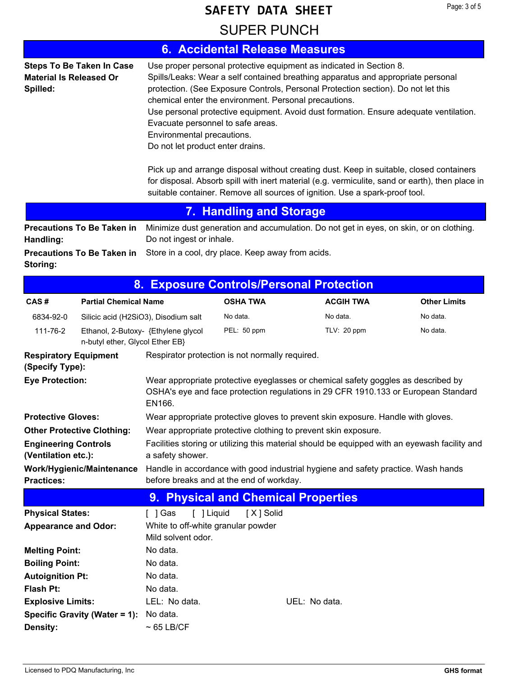### **SAFETY DATA SHEET**

### **SUPER PUNCH**

|                                                    |                                                                        |                                                                                                                                                              |                         | <b>6. Accidental Release Measures</b>                                                                                                                                                                                                   |                                                                                                                                                                                                                                                                                                                                                                         |
|----------------------------------------------------|------------------------------------------------------------------------|--------------------------------------------------------------------------------------------------------------------------------------------------------------|-------------------------|-----------------------------------------------------------------------------------------------------------------------------------------------------------------------------------------------------------------------------------------|-------------------------------------------------------------------------------------------------------------------------------------------------------------------------------------------------------------------------------------------------------------------------------------------------------------------------------------------------------------------------|
| <b>Material Is Released Or</b><br>Spilled:         | <b>Steps To Be Taken In Case</b>                                       | chemical enter the environment. Personal precautions.<br>Evacuate personnel to safe areas.<br>Environmental precautions.<br>Do not let product enter drains. |                         | Use proper personal protective equipment as indicated in Section 8.<br>protection. (See Exposure Controls, Personal Protection section). Do not let this<br>suitable container. Remove all sources of ignition. Use a spark-proof tool. | Spills/Leaks: Wear a self contained breathing apparatus and appropriate personal<br>Use personal protective equipment. Avoid dust formation. Ensure adequate ventilation.<br>Pick up and arrange disposal without creating dust. Keep in suitable, closed containers<br>for disposal. Absorb spill with inert material (e.g. vermiculite, sand or earth), then place in |
|                                                    |                                                                        |                                                                                                                                                              | 7. Handling and Storage |                                                                                                                                                                                                                                         |                                                                                                                                                                                                                                                                                                                                                                         |
| Handling:                                          | <b>Precautions To Be Taken in</b>                                      | Do not ingest or inhale.                                                                                                                                     |                         |                                                                                                                                                                                                                                         | Minimize dust generation and accumulation. Do not get in eyes, on skin, or on clothing.                                                                                                                                                                                                                                                                                 |
| Storing:                                           | <b>Precautions To Be Taken in</b>                                      | Store in a cool, dry place. Keep away from acids.                                                                                                            |                         |                                                                                                                                                                                                                                         |                                                                                                                                                                                                                                                                                                                                                                         |
|                                                    | 8.                                                                     |                                                                                                                                                              |                         | <b>Exposure Controls/Personal Protection</b>                                                                                                                                                                                            |                                                                                                                                                                                                                                                                                                                                                                         |
| CAS#                                               | <b>Partial Chemical Name</b>                                           |                                                                                                                                                              | <b>OSHA TWA</b>         | <b>ACGIH TWA</b>                                                                                                                                                                                                                        | <b>Other Limits</b>                                                                                                                                                                                                                                                                                                                                                     |
| 6834-92-0                                          | Silicic acid (H2SiO3), Disodium salt                                   |                                                                                                                                                              | No data.                | No data.                                                                                                                                                                                                                                | No data.                                                                                                                                                                                                                                                                                                                                                                |
| 111-76-2                                           | Ethanol, 2-Butoxy- {Ethylene glycol<br>n-butyl ether, Glycol Ether EB} |                                                                                                                                                              | PEL: 50 ppm             | TLV: 20 ppm                                                                                                                                                                                                                             | No data.                                                                                                                                                                                                                                                                                                                                                                |
| <b>Respiratory Equipment</b><br>(Specify Type):    |                                                                        | Respirator protection is not normally required.                                                                                                              |                         |                                                                                                                                                                                                                                         |                                                                                                                                                                                                                                                                                                                                                                         |
| <b>Eye Protection:</b>                             |                                                                        | EN166.                                                                                                                                                       |                         |                                                                                                                                                                                                                                         | Wear appropriate protective eyeglasses or chemical safety goggles as described by<br>OSHA's eye and face protection regulations in 29 CFR 1910.133 or European Standard                                                                                                                                                                                                 |
| <b>Protective Gloves:</b>                          |                                                                        |                                                                                                                                                              |                         | Wear appropriate protective gloves to prevent skin exposure. Handle with gloves.                                                                                                                                                        |                                                                                                                                                                                                                                                                                                                                                                         |
| <b>Other Protective Clothing:</b>                  |                                                                        |                                                                                                                                                              |                         | Wear appropriate protective clothing to prevent skin exposure.                                                                                                                                                                          |                                                                                                                                                                                                                                                                                                                                                                         |
| <b>Engineering Controls</b><br>(Ventilation etc.): |                                                                        | a safety shower.                                                                                                                                             |                         |                                                                                                                                                                                                                                         | Facilities storing or utilizing this material should be equipped with an eyewash facility and                                                                                                                                                                                                                                                                           |
| <b>Practices:</b>                                  | Work/Hygienic/Maintenance                                              | before breaks and at the end of workday.                                                                                                                     |                         |                                                                                                                                                                                                                                         | Handle in accordance with good industrial hygiene and safety practice. Wash hands                                                                                                                                                                                                                                                                                       |
|                                                    |                                                                        |                                                                                                                                                              |                         | 9. Physical and Chemical Properties                                                                                                                                                                                                     |                                                                                                                                                                                                                                                                                                                                                                         |
| <b>Physical States:</b>                            |                                                                        | $[$ ] Gas<br>[ ] Liquid                                                                                                                                      | [X] Solid               |                                                                                                                                                                                                                                         |                                                                                                                                                                                                                                                                                                                                                                         |
| <b>Appearance and Odor:</b>                        |                                                                        | White to off-white granular powder                                                                                                                           |                         |                                                                                                                                                                                                                                         |                                                                                                                                                                                                                                                                                                                                                                         |
|                                                    |                                                                        | Mild solvent odor.                                                                                                                                           |                         |                                                                                                                                                                                                                                         |                                                                                                                                                                                                                                                                                                                                                                         |
| <b>Melting Point:</b><br><b>Boiling Point:</b>     |                                                                        | No data.<br>No data.                                                                                                                                         |                         |                                                                                                                                                                                                                                         |                                                                                                                                                                                                                                                                                                                                                                         |
| <b>Autoignition Pt:</b>                            |                                                                        | No data.                                                                                                                                                     |                         |                                                                                                                                                                                                                                         |                                                                                                                                                                                                                                                                                                                                                                         |
| <b>Flash Pt:</b>                                   |                                                                        | No data.                                                                                                                                                     |                         |                                                                                                                                                                                                                                         |                                                                                                                                                                                                                                                                                                                                                                         |
| <b>Explosive Limits:</b>                           |                                                                        | LEL: No data.                                                                                                                                                |                         | UEL: No data.                                                                                                                                                                                                                           |                                                                                                                                                                                                                                                                                                                                                                         |
|                                                    | Specific Gravity (Water = 1):                                          | No data.                                                                                                                                                     |                         |                                                                                                                                                                                                                                         |                                                                                                                                                                                                                                                                                                                                                                         |
| Density:                                           |                                                                        | $~\sim 65$ LB/CF                                                                                                                                             |                         |                                                                                                                                                                                                                                         |                                                                                                                                                                                                                                                                                                                                                                         |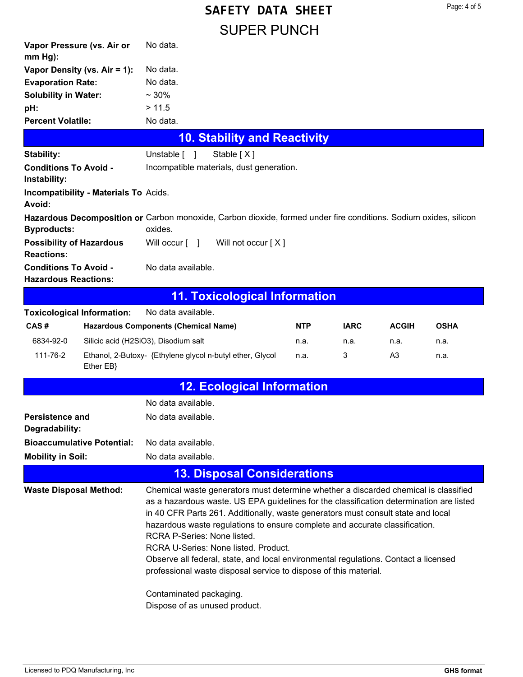|           | No data.                                                                                                                                                                                                                                                                                                                                                                                                                                                               |                                              |                                                                                                                                                                                                                                                                                         |                                                                                                                                                                     |                                                                                                                                                        |                                                                                                                                                                                                                                                                                                                                                                                                                                                                                                                                                                                                                                  |
|-----------|------------------------------------------------------------------------------------------------------------------------------------------------------------------------------------------------------------------------------------------------------------------------------------------------------------------------------------------------------------------------------------------------------------------------------------------------------------------------|----------------------------------------------|-----------------------------------------------------------------------------------------------------------------------------------------------------------------------------------------------------------------------------------------------------------------------------------------|---------------------------------------------------------------------------------------------------------------------------------------------------------------------|--------------------------------------------------------------------------------------------------------------------------------------------------------|----------------------------------------------------------------------------------------------------------------------------------------------------------------------------------------------------------------------------------------------------------------------------------------------------------------------------------------------------------------------------------------------------------------------------------------------------------------------------------------------------------------------------------------------------------------------------------------------------------------------------------|
|           | No data.                                                                                                                                                                                                                                                                                                                                                                                                                                                               |                                              |                                                                                                                                                                                                                                                                                         |                                                                                                                                                                     |                                                                                                                                                        |                                                                                                                                                                                                                                                                                                                                                                                                                                                                                                                                                                                                                                  |
|           | No data.                                                                                                                                                                                                                                                                                                                                                                                                                                                               |                                              |                                                                                                                                                                                                                                                                                         |                                                                                                                                                                     |                                                                                                                                                        |                                                                                                                                                                                                                                                                                                                                                                                                                                                                                                                                                                                                                                  |
|           | $~10\%$                                                                                                                                                                                                                                                                                                                                                                                                                                                                |                                              |                                                                                                                                                                                                                                                                                         |                                                                                                                                                                     |                                                                                                                                                        |                                                                                                                                                                                                                                                                                                                                                                                                                                                                                                                                                                                                                                  |
|           | > 11.5                                                                                                                                                                                                                                                                                                                                                                                                                                                                 |                                              |                                                                                                                                                                                                                                                                                         |                                                                                                                                                                     |                                                                                                                                                        |                                                                                                                                                                                                                                                                                                                                                                                                                                                                                                                                                                                                                                  |
|           | No data.                                                                                                                                                                                                                                                                                                                                                                                                                                                               |                                              |                                                                                                                                                                                                                                                                                         |                                                                                                                                                                     |                                                                                                                                                        |                                                                                                                                                                                                                                                                                                                                                                                                                                                                                                                                                                                                                                  |
|           |                                                                                                                                                                                                                                                                                                                                                                                                                                                                        |                                              |                                                                                                                                                                                                                                                                                         |                                                                                                                                                                     |                                                                                                                                                        |                                                                                                                                                                                                                                                                                                                                                                                                                                                                                                                                                                                                                                  |
|           |                                                                                                                                                                                                                                                                                                                                                                                                                                                                        | Stable [X]                                   |                                                                                                                                                                                                                                                                                         |                                                                                                                                                                     |                                                                                                                                                        |                                                                                                                                                                                                                                                                                                                                                                                                                                                                                                                                                                                                                                  |
|           |                                                                                                                                                                                                                                                                                                                                                                                                                                                                        |                                              |                                                                                                                                                                                                                                                                                         |                                                                                                                                                                     |                                                                                                                                                        |                                                                                                                                                                                                                                                                                                                                                                                                                                                                                                                                                                                                                                  |
|           |                                                                                                                                                                                                                                                                                                                                                                                                                                                                        |                                              |                                                                                                                                                                                                                                                                                         |                                                                                                                                                                     |                                                                                                                                                        |                                                                                                                                                                                                                                                                                                                                                                                                                                                                                                                                                                                                                                  |
|           | oxides.                                                                                                                                                                                                                                                                                                                                                                                                                                                                |                                              |                                                                                                                                                                                                                                                                                         |                                                                                                                                                                     |                                                                                                                                                        |                                                                                                                                                                                                                                                                                                                                                                                                                                                                                                                                                                                                                                  |
|           |                                                                                                                                                                                                                                                                                                                                                                                                                                                                        |                                              |                                                                                                                                                                                                                                                                                         |                                                                                                                                                                     |                                                                                                                                                        |                                                                                                                                                                                                                                                                                                                                                                                                                                                                                                                                                                                                                                  |
|           |                                                                                                                                                                                                                                                                                                                                                                                                                                                                        |                                              |                                                                                                                                                                                                                                                                                         |                                                                                                                                                                     |                                                                                                                                                        |                                                                                                                                                                                                                                                                                                                                                                                                                                                                                                                                                                                                                                  |
|           |                                                                                                                                                                                                                                                                                                                                                                                                                                                                        |                                              |                                                                                                                                                                                                                                                                                         |                                                                                                                                                                     |                                                                                                                                                        |                                                                                                                                                                                                                                                                                                                                                                                                                                                                                                                                                                                                                                  |
|           |                                                                                                                                                                                                                                                                                                                                                                                                                                                                        |                                              |                                                                                                                                                                                                                                                                                         |                                                                                                                                                                     |                                                                                                                                                        |                                                                                                                                                                                                                                                                                                                                                                                                                                                                                                                                                                                                                                  |
|           |                                                                                                                                                                                                                                                                                                                                                                                                                                                                        |                                              | NTP                                                                                                                                                                                                                                                                                     | <b>IARC</b>                                                                                                                                                         | <b>ACGIH</b>                                                                                                                                           | <b>OSHA</b>                                                                                                                                                                                                                                                                                                                                                                                                                                                                                                                                                                                                                      |
|           |                                                                                                                                                                                                                                                                                                                                                                                                                                                                        |                                              | n.a.                                                                                                                                                                                                                                                                                    | n.a.                                                                                                                                                                | n.a.                                                                                                                                                   | n.a.                                                                                                                                                                                                                                                                                                                                                                                                                                                                                                                                                                                                                             |
| Ether EB} |                                                                                                                                                                                                                                                                                                                                                                                                                                                                        |                                              | n.a.                                                                                                                                                                                                                                                                                    | 3                                                                                                                                                                   | A <sub>3</sub>                                                                                                                                         | n.a.                                                                                                                                                                                                                                                                                                                                                                                                                                                                                                                                                                                                                             |
|           |                                                                                                                                                                                                                                                                                                                                                                                                                                                                        |                                              |                                                                                                                                                                                                                                                                                         |                                                                                                                                                                     |                                                                                                                                                        |                                                                                                                                                                                                                                                                                                                                                                                                                                                                                                                                                                                                                                  |
|           |                                                                                                                                                                                                                                                                                                                                                                                                                                                                        |                                              |                                                                                                                                                                                                                                                                                         |                                                                                                                                                                     |                                                                                                                                                        |                                                                                                                                                                                                                                                                                                                                                                                                                                                                                                                                                                                                                                  |
|           |                                                                                                                                                                                                                                                                                                                                                                                                                                                                        |                                              |                                                                                                                                                                                                                                                                                         |                                                                                                                                                                     |                                                                                                                                                        |                                                                                                                                                                                                                                                                                                                                                                                                                                                                                                                                                                                                                                  |
|           |                                                                                                                                                                                                                                                                                                                                                                                                                                                                        |                                              |                                                                                                                                                                                                                                                                                         |                                                                                                                                                                     |                                                                                                                                                        |                                                                                                                                                                                                                                                                                                                                                                                                                                                                                                                                                                                                                                  |
|           |                                                                                                                                                                                                                                                                                                                                                                                                                                                                        |                                              |                                                                                                                                                                                                                                                                                         |                                                                                                                                                                     |                                                                                                                                                        |                                                                                                                                                                                                                                                                                                                                                                                                                                                                                                                                                                                                                                  |
|           |                                                                                                                                                                                                                                                                                                                                                                                                                                                                        |                                              |                                                                                                                                                                                                                                                                                         |                                                                                                                                                                     |                                                                                                                                                        |                                                                                                                                                                                                                                                                                                                                                                                                                                                                                                                                                                                                                                  |
|           | Contaminated packaging.                                                                                                                                                                                                                                                                                                                                                                                                                                                |                                              |                                                                                                                                                                                                                                                                                         |                                                                                                                                                                     |                                                                                                                                                        |                                                                                                                                                                                                                                                                                                                                                                                                                                                                                                                                                                                                                                  |
|           | Vapor Pressure (vs. Air or<br>Vapor Density (vs. Air = 1):<br><b>Evaporation Rate:</b><br><b>Solubility in Water:</b><br><b>Percent Volatile:</b><br><b>Conditions To Avoid -</b><br><b>Possibility of Hazardous</b><br><b>Conditions To Avoid -</b><br><b>Hazardous Reactions:</b><br><b>Toxicological Information:</b><br><b>Persistence and</b><br>Degradability:<br><b>Bioaccumulative Potential:</b><br><b>Mobility in Soil:</b><br><b>Waste Disposal Method:</b> | <b>Incompatibility - Materials To Acids.</b> | Unstable [ ]<br>Will occur [ ]<br>No data available.<br>No data available.<br><b>Hazardous Components (Chemical Name)</b><br>Silicic acid (H2SiO3), Disodium salt<br>No data available.<br>No data available<br>No data available.<br>No data available.<br>RCRA P-Series: None listed. | Incompatible materials, dust generation.<br>Will not occur [X]<br>Ethanol, 2-Butoxy- {Ethylene glycol n-butyl ether, Glycol<br>RCRA U-Series: None listed. Product. | <b>10. Stability and Reactivity</b><br><b>11. Toxicological Information</b><br><b>12. Ecological Information</b><br><b>13. Disposal Considerations</b> | Hazardous Decomposition or Carbon monoxide, Carbon dioxide, formed under fire conditions. Sodium oxides, silicon<br>Chemical waste generators must determine whether a discarded chemical is classified<br>as a hazardous waste. US EPA guidelines for the classification determination are listed<br>in 40 CFR Parts 261. Additionally, waste generators must consult state and local<br>hazardous waste regulations to ensure complete and accurate classification.<br>Observe all federal, state, and local environmental regulations. Contact a licensed<br>professional waste disposal service to dispose of this material. |